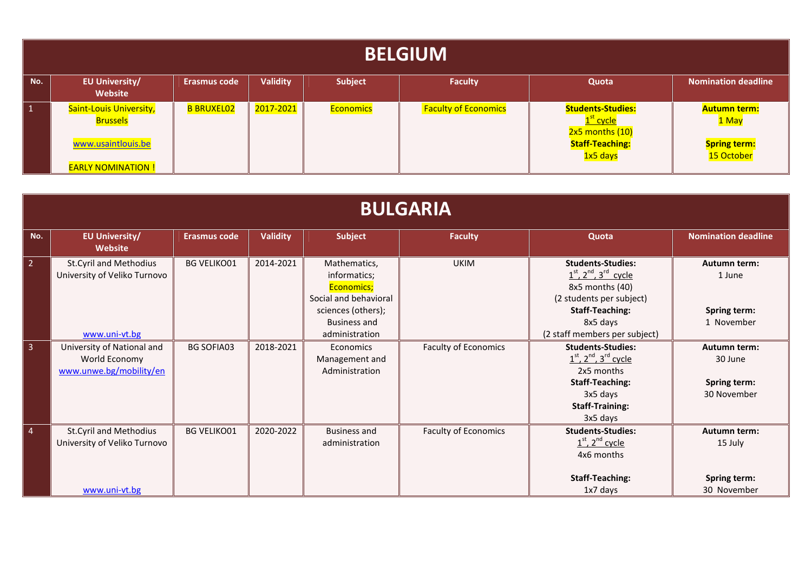|       | <b>BELGIUM</b>                                                                               |                     |           |                  |                             |                                                                                                  |                                                                   |  |  |  |
|-------|----------------------------------------------------------------------------------------------|---------------------|-----------|------------------|-----------------------------|--------------------------------------------------------------------------------------------------|-------------------------------------------------------------------|--|--|--|
| No.   | <b>EU University/</b><br>Website                                                             | <b>Erasmus code</b> | Validity  | <b>Subject</b>   | <b>Faculty</b>              | Quota                                                                                            | <b>Nomination deadline</b>                                        |  |  |  |
| $1 -$ | Saint-Louis University,<br><b>Brussels</b><br>www.usaintlouis.be<br><b>EARLY NOMINATION!</b> | <b>B BRUXEL02</b>   | 2017-2021 | <b>Economics</b> | <b>Faculty of Economics</b> | <b>Students-Studies:</b><br>$1st$ cycle<br>2x5 months (10)<br><b>Staff-Teaching:</b><br>1x5 days | <b>Autumn term:</b><br>1 May<br><b>Spring term:</b><br>15 October |  |  |  |

|                         | <b>BULGARIA</b>                                                         |                     |                 |                                                                                                                         |                             |                                                                                                                                                   |                                                               |  |  |  |  |  |
|-------------------------|-------------------------------------------------------------------------|---------------------|-----------------|-------------------------------------------------------------------------------------------------------------------------|-----------------------------|---------------------------------------------------------------------------------------------------------------------------------------------------|---------------------------------------------------------------|--|--|--|--|--|
| No.                     | <b>EU University/</b><br>Website                                        | <b>Erasmus code</b> | <b>Validity</b> | <b>Subject</b>                                                                                                          | <b>Faculty</b>              | Quota                                                                                                                                             | <b>Nomination deadline</b>                                    |  |  |  |  |  |
| $\overline{2}$          | St.Cyril and Methodius<br>University of Veliko Turnovo                  | <b>BG VELIKO01</b>  | 2014-2021       | Mathematics,<br>informatics;<br><b>Economics;</b><br>Social and behavioral<br>sciences (others);<br><b>Business and</b> | <b>UKIM</b>                 | <b>Students-Studies:</b><br>$1st$ , $2nd$ , $3rd$ cycle<br>8x5 months (40)<br>(2 students per subject)<br><b>Staff-Teaching:</b><br>8x5 days      | Autumn term:<br>1 June<br>Spring term:<br>1 November          |  |  |  |  |  |
|                         | www.uni-vt.bg                                                           |                     |                 | administration                                                                                                          |                             | (2 staff members per subject)                                                                                                                     |                                                               |  |  |  |  |  |
| $\overline{\mathbf{3}}$ | University of National and<br>World Economy<br>www.unwe.bg/mobility/en  | <b>BG SOFIA03</b>   | 2018-2021       | Economics<br>Management and<br>Administration                                                                           | <b>Faculty of Economics</b> | <b>Students-Studies:</b><br>$1st$ , $2nd$ , $3rd$ cycle<br>2x5 months<br><b>Staff-Teaching:</b><br>3x5 days<br><b>Staff-Training:</b><br>3x5 days | <b>Autumn term:</b><br>30 June<br>Spring term:<br>30 November |  |  |  |  |  |
| $\overline{4}$          | St.Cyril and Methodius<br>University of Veliko Turnovo<br>www.uni-vt.bg | <b>BG VELIKO01</b>  | 2020-2022       | <b>Business and</b><br>administration                                                                                   | <b>Faculty of Economics</b> | <b>Students-Studies:</b><br>$1st$ , $2nd$ cycle<br>4x6 months<br><b>Staff-Teaching:</b><br>1x7 days                                               | Autumn term:<br>15 July<br>Spring term:<br>30 November        |  |  |  |  |  |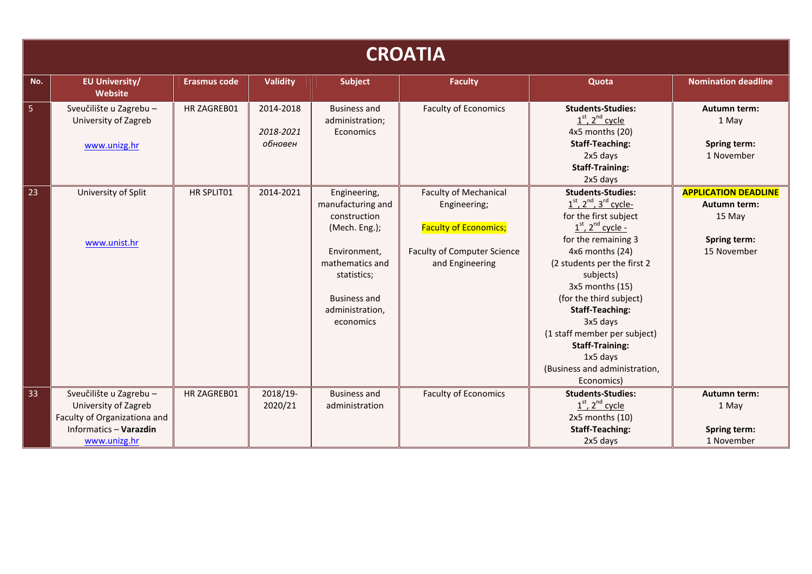|     | <b>CROATIA</b>                                                                                                           |                     |                                   |                                                                                                                                                                             |                                                                                                                                       |                                                                                                                                                                                                                                                                                                                                                                                                           |                                                                                      |  |  |  |  |
|-----|--------------------------------------------------------------------------------------------------------------------------|---------------------|-----------------------------------|-----------------------------------------------------------------------------------------------------------------------------------------------------------------------------|---------------------------------------------------------------------------------------------------------------------------------------|-----------------------------------------------------------------------------------------------------------------------------------------------------------------------------------------------------------------------------------------------------------------------------------------------------------------------------------------------------------------------------------------------------------|--------------------------------------------------------------------------------------|--|--|--|--|
| No. | <b>EU University/</b><br>Website                                                                                         | <b>Erasmus code</b> | <b>Validity</b>                   | <b>Subject</b>                                                                                                                                                              | <b>Faculty</b>                                                                                                                        | Quota                                                                                                                                                                                                                                                                                                                                                                                                     | <b>Nomination deadline</b>                                                           |  |  |  |  |
| 5   | Sveučilište u Zagrebu-<br>University of Zagreb<br>www.unizg.hr                                                           | HR ZAGREB01         | 2014-2018<br>2018-2021<br>обновен | <b>Business and</b><br>administration;<br>Economics                                                                                                                         | <b>Faculty of Economics</b>                                                                                                           | <b>Students-Studies:</b><br>$1st$ , $2nd$ cycle<br>4x5 months (20)<br><b>Staff-Teaching:</b><br>2x5 days<br><b>Staff-Training:</b><br>2x5 days                                                                                                                                                                                                                                                            | Autumn term:<br>1 May<br>Spring term:<br>1 November                                  |  |  |  |  |
| 23  | University of Split<br>www.unist.hr                                                                                      | HR SPLIT01          | 2014-2021                         | Engineering,<br>manufacturing and<br>construction<br>(Mech. Eng.);<br>Environment,<br>mathematics and<br>statistics;<br><b>Business and</b><br>administration,<br>economics | <b>Faculty of Mechanical</b><br>Engineering;<br><b>Faculty of Economics;</b><br><b>Faculty of Computer Science</b><br>and Engineering | <b>Students-Studies:</b><br>$1st$ , $2nd$ , $3rd$ cycle-<br>for the first subject<br>$1st$ , $2nd$ cycle -<br>for the remaining 3<br>4x6 months (24)<br>(2 students per the first 2<br>subjects)<br>3x5 months (15)<br>(for the third subject)<br><b>Staff-Teaching:</b><br>3x5 days<br>(1 staff member per subject)<br><b>Staff-Training:</b><br>1x5 days<br>(Business and administration,<br>Economics) | <b>APPLICATION DEADLINE</b><br>Autumn term:<br>15 May<br>Spring term:<br>15 November |  |  |  |  |
| 33  | Sveučilište u Zagrebu-<br>University of Zagreb<br>Faculty of Organizationa and<br>Informatics - Varazdin<br>www.unizg.hr | HR ZAGREB01         | 2018/19-<br>2020/21               | <b>Business and</b><br>administration                                                                                                                                       | <b>Faculty of Economics</b>                                                                                                           | <b>Students-Studies:</b><br>$1st$ , $2nd$ cycle<br>2x5 months (10)<br><b>Staff-Teaching:</b><br>2x5 days                                                                                                                                                                                                                                                                                                  | Autumn term:<br>1 May<br>Spring term:<br>1 November                                  |  |  |  |  |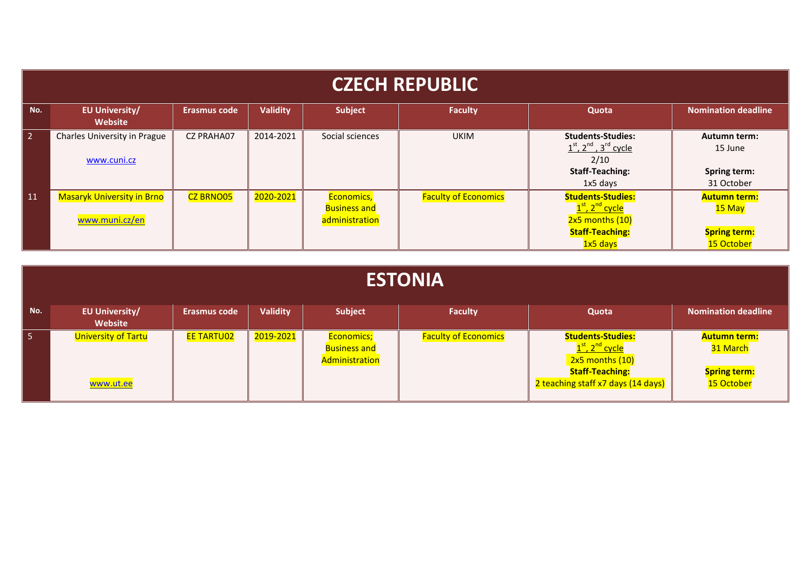|                | <b>CZECH REPUBLIC</b>                               |                     |                 |                                                     |                             |                                                                                                              |                                                                    |  |  |  |  |
|----------------|-----------------------------------------------------|---------------------|-----------------|-----------------------------------------------------|-----------------------------|--------------------------------------------------------------------------------------------------------------|--------------------------------------------------------------------|--|--|--|--|
| No.            | <b>EU University/</b><br>Website                    | <b>Erasmus code</b> | <b>Validity</b> | <b>Subject</b>                                      | <b>Faculty</b>              | Quota                                                                                                        | <b>Nomination deadline</b>                                         |  |  |  |  |
| 2 <sup>7</sup> | Charles University in Prague<br>www.cuni.cz         | <b>CZ PRAHA07</b>   | 2014-2021       | Social sciences                                     | <b>UKIM</b>                 | <b>Students-Studies:</b><br>$1st$ , $2nd$ , $3rd$ cycle<br>2/10<br><b>Staff-Teaching:</b><br>1x5 days        | Autumn term:<br>15 June<br>Spring term:<br>31 October              |  |  |  |  |
| 11             | <b>Masaryk University in Brno</b><br>www.muni.cz/en | <b>CZ BRNO05</b>    | 2020-2021       | Economics,<br><b>Business and</b><br>administration | <b>Faculty of Economics</b> | <b>Students-Studies:</b><br>$1st$ , $2nd$ cycle<br>$2x5$ months $(10)$<br><b>Staff-Teaching:</b><br>1x5 days | <b>Autumn term:</b><br>15 May<br><b>Spring term:</b><br>15 October |  |  |  |  |

|     | <b>ESTONIA</b>                   |                     |                 |                                                     |                             |                                                                                                            |                                                        |  |  |  |  |
|-----|----------------------------------|---------------------|-----------------|-----------------------------------------------------|-----------------------------|------------------------------------------------------------------------------------------------------------|--------------------------------------------------------|--|--|--|--|
| No. | <b>EU University/</b><br>Website | <b>Erasmus code</b> | <b>Validity</b> | <b>Subject</b>                                      | <b>Faculty</b>              | Quota                                                                                                      | <b>Nomination deadline</b>                             |  |  |  |  |
| 5   | <b>University of Tartu</b>       | <b>EE TARTU02</b>   | 2019-2021       | Economics;<br><b>Business and</b><br>Administration | <b>Faculty of Economics</b> | <b>Students-Studies:</b><br>$1st$ , 2 <sup>nd</sup> cycle<br>$2x5$ months $(10)$<br><b>Staff-Teaching:</b> | <b>Autumn term:</b><br>31 March<br><b>Spring term:</b> |  |  |  |  |
|     | www.ut.ee                        |                     |                 |                                                     |                             | 2 teaching staff x7 days (14 days)                                                                         | 15 October                                             |  |  |  |  |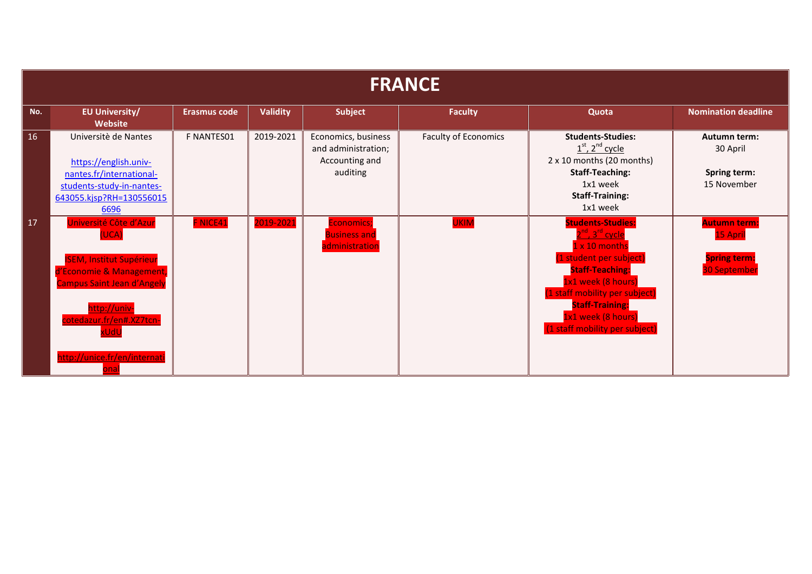|     | <b>FRANCE</b>                                                                                                                                                                                                                |                     |                 |                                                                          |                             |                                                                                                                                                                                                                                                               |                                                                               |  |  |  |  |
|-----|------------------------------------------------------------------------------------------------------------------------------------------------------------------------------------------------------------------------------|---------------------|-----------------|--------------------------------------------------------------------------|-----------------------------|---------------------------------------------------------------------------------------------------------------------------------------------------------------------------------------------------------------------------------------------------------------|-------------------------------------------------------------------------------|--|--|--|--|
| No. | <b>EU University/</b><br><b>Website</b>                                                                                                                                                                                      | <b>Erasmus code</b> | <b>Validity</b> | <b>Subject</b>                                                           | <b>Faculty</b>              | Quota                                                                                                                                                                                                                                                         | <b>Nomination deadline</b>                                                    |  |  |  |  |
| 16  | Universitè de Nantes<br>https://english.univ-<br>nantes.fr/international-<br>students-study-in-nantes-<br>643055.kjsp?RH=130556015<br>6696                                                                                   | F NANTES01          | 2019-2021       | Economics, business<br>and administration;<br>Accounting and<br>auditing | <b>Faculty of Economics</b> | <b>Students-Studies:</b><br>$1st$ , $2nd$ cycle<br>2 x 10 months (20 months)<br><b>Staff-Teaching:</b><br>1x1 week<br><b>Staff-Training:</b><br>1x1 week                                                                                                      | Autumn term:<br>30 April<br>Spring term:<br>15 November                       |  |  |  |  |
| 17  | Université Côte d'Azur<br><b>UCA</b><br><b>ISEM, Institut Supérieur</b><br>d'Economie & Management,<br><b>Campus Saint Jean d'Angely</b><br>http://univ-<br>-cotedazur.fr/en#.XZ7tcn<br>kUdL<br>http://unice.fr/en/internati | F NICE41            | 2019-2021       | <b>Economics;</b><br><b>Business and</b><br>administration               | <b>UKIM</b>                 | <b>Students-Studies:</b><br>$2nd$ , $3rd$ cycle<br>x 10 months<br>(1 student per subject)<br><b>Staff-Teaching:</b><br>1x1 week (8 hours)<br>(1 staff mobility per subject)<br><b>Staff-Training:</b><br>1x1 week (8 hours)<br>(1 staff mobility per subject) | <b>Autumn term:</b><br><b>15 April</b><br><b>Spring term:</b><br>30 September |  |  |  |  |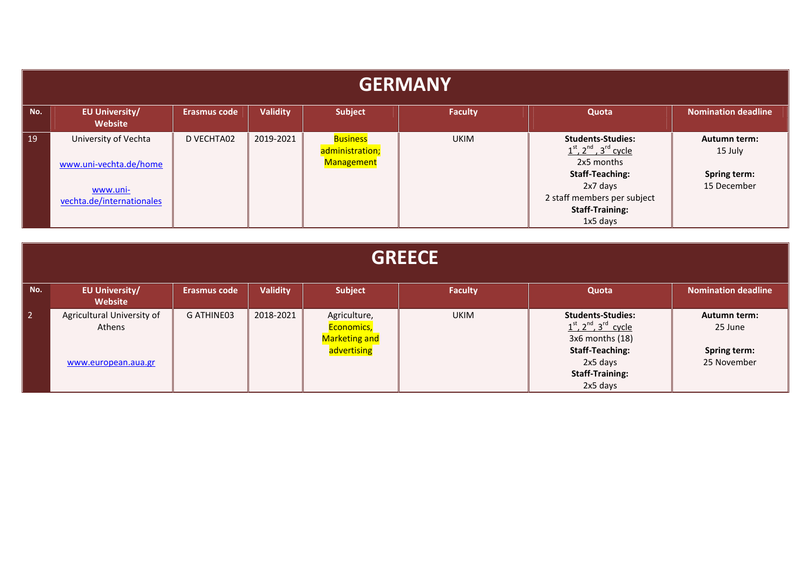|     | <b>GERMANY</b>                                 |                     |                 |                                                         |                |                                                                                                         |                             |  |  |  |  |
|-----|------------------------------------------------|---------------------|-----------------|---------------------------------------------------------|----------------|---------------------------------------------------------------------------------------------------------|-----------------------------|--|--|--|--|
| No. | <b>EU University/</b><br>Website               | <b>Erasmus code</b> | <b>Validity</b> | <b>Subject</b>                                          | <b>Faculty</b> | Quota                                                                                                   | <b>Nomination deadline</b>  |  |  |  |  |
| 19  | University of Vechta<br>www.uni-vechta.de/home | D VECHTA02          | 2019-2021       | <b>Business</b><br>administration;<br><b>Management</b> | <b>UKIM</b>    | <b>Students-Studies:</b><br>$1st$ , $2nd$ , $3rd$ cycle<br>2x5 months                                   | Autumn term:<br>15 July     |  |  |  |  |
|     | www.uni-<br>vechta.de/internationales          |                     |                 |                                                         |                | <b>Staff-Teaching:</b><br>2x7 days<br>2 staff members per subject<br><b>Staff-Training:</b><br>1x5 days | Spring term:<br>15 December |  |  |  |  |

|                | <b>GREECE</b>                        |              |                 |                                                    |                |                                                                            |                             |  |  |  |  |
|----------------|--------------------------------------|--------------|-----------------|----------------------------------------------------|----------------|----------------------------------------------------------------------------|-----------------------------|--|--|--|--|
| No.            | <b>EU University/</b><br>Website     | Erasmus code | <b>Validity</b> | <b>Subject</b>                                     | <b>Faculty</b> | Quota                                                                      | <b>Nomination deadline</b>  |  |  |  |  |
| $\overline{2}$ | Agricultural University of<br>Athens | G ATHINE03   | 2018-2021       | Agriculture,<br>Economics,<br><b>Marketing and</b> | <b>UKIM</b>    | <b>Students-Studies:</b><br>$1st$ , $2nd$ , $3rd$ cycle<br>3x6 months (18) | Autumn term:<br>25 June     |  |  |  |  |
|                | www.european.aua.gr                  |              |                 | advertising                                        |                | <b>Staff-Teaching:</b><br>2x5 days<br><b>Staff-Training:</b><br>2x5 days   | Spring term:<br>25 November |  |  |  |  |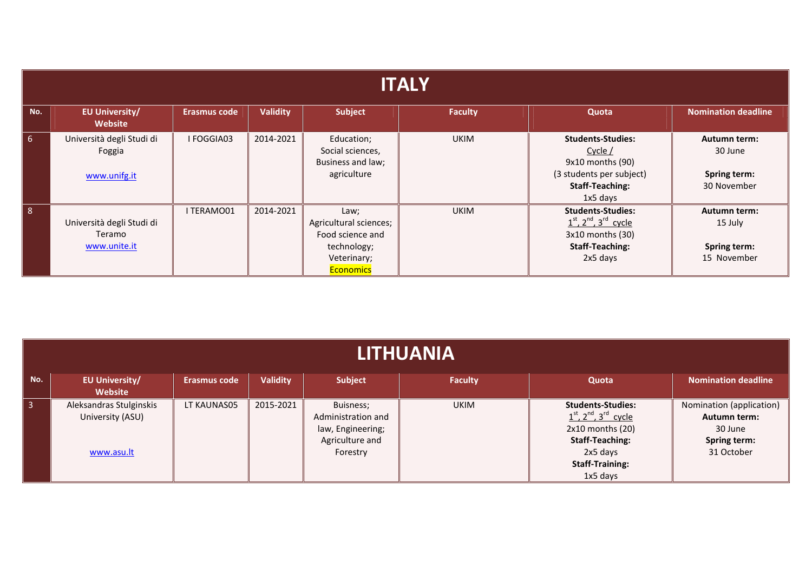|                | <b>ITALY</b>                                        |                     |                 |                                                                                                      |                |                                                                                                                           |                                                               |  |  |  |  |
|----------------|-----------------------------------------------------|---------------------|-----------------|------------------------------------------------------------------------------------------------------|----------------|---------------------------------------------------------------------------------------------------------------------------|---------------------------------------------------------------|--|--|--|--|
| No.            | <b>EU University/</b><br>Website                    | <b>Erasmus code</b> | <b>Validity</b> | Subject                                                                                              | <b>Faculty</b> | Quota                                                                                                                     | Nomination deadline                                           |  |  |  |  |
| 6 <sup>1</sup> | Università degli Studi di<br>Foggia<br>www.unifg.it | I FOGGIA03          | 2014-2021       | Education;<br>Social sciences,<br>Business and law;<br>agriculture                                   | <b>UKIM</b>    | <b>Students-Studies:</b><br>Cycle /<br>9x10 months (90)<br>(3 students per subject)<br><b>Staff-Teaching:</b><br>1x5 days | Autumn term:<br>30 June<br>Spring term:<br>30 November        |  |  |  |  |
| 8              | Università degli Studi di<br>Teramo<br>www.unite.it | I TERAMO01          | 2014-2021       | Law;<br>Agricultural sciences;<br>Food science and<br>technology;<br>Veterinary;<br><b>Economics</b> | <b>UKIM</b>    | <b>Students-Studies:</b><br>$1st$ , $2nd$ , $3rd$ cycle<br>3x10 months (30)<br><b>Staff-Teaching:</b><br>2x5 days         | <b>Autumn term:</b><br>15 July<br>Spring term:<br>15 November |  |  |  |  |

|       | <b>LITHUANIA</b>                                          |              |                 |                                                                                     |                |                                                                                                                                                         |                                                                                   |  |  |  |  |
|-------|-----------------------------------------------------------|--------------|-----------------|-------------------------------------------------------------------------------------|----------------|---------------------------------------------------------------------------------------------------------------------------------------------------------|-----------------------------------------------------------------------------------|--|--|--|--|
| No.   | <b>EU University/</b><br>Website                          | Erasmus code | <b>Validity</b> | Subject                                                                             | <b>Faculty</b> | Quota                                                                                                                                                   | <b>Nomination deadline</b>                                                        |  |  |  |  |
| $3 -$ | Aleksandras Stulginskis<br>University (ASU)<br>www.asu.lt | LT KAUNAS05  | 2015-2021       | Buisness;<br>Administration and<br>law, Engineering;<br>Agriculture and<br>Forestry | <b>UKIM</b>    | <b>Students-Studies:</b><br>$1st$ , $2nd$ , $3rd$ cycle<br>2x10 months (20)<br><b>Staff-Teaching:</b><br>2x5 days<br><b>Staff-Training:</b><br>1x5 days | Nomination (application)<br>Autumn term:<br>30 June<br>Spring term:<br>31 October |  |  |  |  |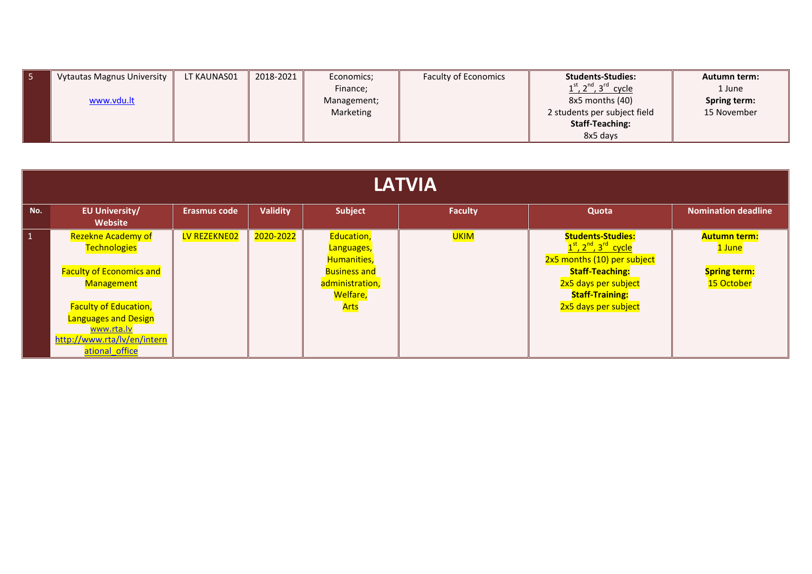| <b>Vytautas Magnus University</b> | LT KAUNAS01 | 2018-2021 | Economics:       | <b>Faculty of Economics</b> | <b>Students-Studies:</b>     | <b>Autumn term:</b> |
|-----------------------------------|-------------|-----------|------------------|-----------------------------|------------------------------|---------------------|
|                                   |             |           | Finance;         |                             | $1st$ , $2nd$ , $3rd$ cycle  | 1 June              |
| www.vdu.lt                        |             |           | Management;      |                             | 8x5 months (40)              | Spring term:        |
|                                   |             |           | <b>Marketing</b> |                             | 2 students per subject field | 15 November         |
|                                   |             |           |                  |                             | <b>Staff-Teaching:</b>       |                     |
|                                   |             |           |                  |                             | 8x5 days                     |                     |

|                 | <b>LATVIA</b>                                                                                                                                                                                                            |                     |           |                                                                                                                      |                |                                                                                                                                                                                            |                                                                    |  |  |  |  |
|-----------------|--------------------------------------------------------------------------------------------------------------------------------------------------------------------------------------------------------------------------|---------------------|-----------|----------------------------------------------------------------------------------------------------------------------|----------------|--------------------------------------------------------------------------------------------------------------------------------------------------------------------------------------------|--------------------------------------------------------------------|--|--|--|--|
| No.             | <b>EU University/</b><br>Website                                                                                                                                                                                         | <b>Erasmus code</b> | Validity  | <b>Subject</b>                                                                                                       | <b>Faculty</b> | Quota                                                                                                                                                                                      | <b>Nomination deadline</b>                                         |  |  |  |  |
| $\vert 1 \vert$ | <b>Rezekne Academy of</b><br>Technologies<br><b>Faculty of Economics and</b><br>Management<br><b>Faculty of Education,</b><br><b>Languages and Design</b><br>www.rta.lv<br>http://www.rta/lv/en/intern<br>ational office | LV REZEKNE02        | 2020-2022 | Education,<br>Languages,<br><b>Humanities</b> ,<br><b>Business and</b><br>administration,<br>Welfare,<br><b>Arts</b> | <b>UKIM</b>    | <b>Students-Studies:</b><br>$1st$ , $2nd$ , $3rd$ cycle<br>2x5 months (10) per subject<br><b>Staff-Teaching:</b><br>2x5 days per subject<br><b>Staff-Training:</b><br>2x5 days per subject | <b>Autumn term:</b><br>1 June<br><b>Spring term:</b><br>15 October |  |  |  |  |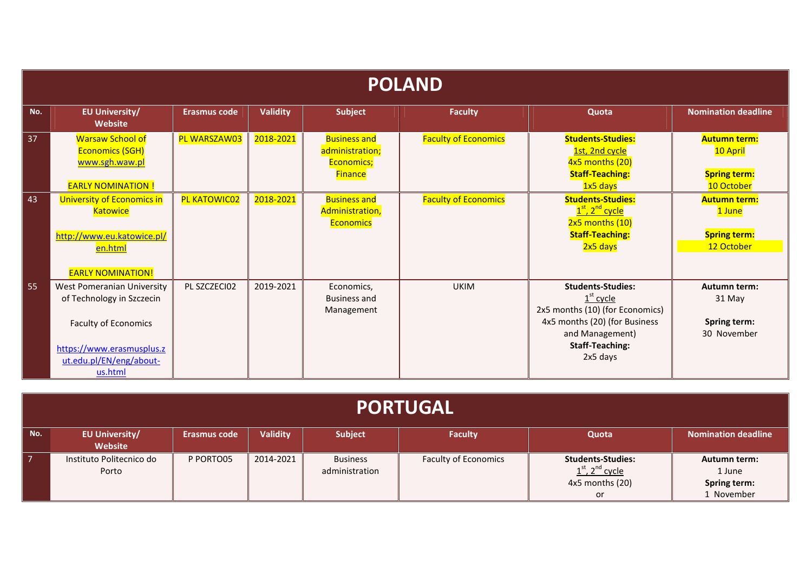|     | <b>POLAND</b>                                                                                                                                                    |                     |                 |                                                                        |                             |                                                                                                                                                                      |                                                                      |  |  |  |  |
|-----|------------------------------------------------------------------------------------------------------------------------------------------------------------------|---------------------|-----------------|------------------------------------------------------------------------|-----------------------------|----------------------------------------------------------------------------------------------------------------------------------------------------------------------|----------------------------------------------------------------------|--|--|--|--|
| No. | <b>EU University/</b><br>Website                                                                                                                                 | <b>Erasmus code</b> | <b>Validity</b> | <b>Subject</b>                                                         | <b>Faculty</b>              | Quota                                                                                                                                                                | <b>Nomination deadline</b>                                           |  |  |  |  |
| 37  | <b>Warsaw School of</b><br><b>Economics (SGH)</b><br>www.sgh.waw.pl<br><b>EARLY NOMINATION!</b>                                                                  | PL WARSZAW03        | 2018-2021       | <b>Business and</b><br>administration;<br>Economics;<br><b>Finance</b> | <b>Faculty of Economics</b> | <b>Students-Studies:</b><br>1st, 2nd cycle<br>4x5 months (20)<br><b>Staff-Teaching:</b><br>1x5 days                                                                  | <b>Autumn term:</b><br>10 April<br><b>Spring term:</b><br>10 October |  |  |  |  |
| 43  | University of Economics in<br><b>Katowice</b><br>http://www.eu.katowice.pl/<br>en.html<br><b>EARLY NOMINATION!</b>                                               | PL KATOWIC02        | 2018-2021       | <b>Business and</b><br>Administration,<br>Economics                    | <b>Faculty of Economics</b> | <b>Students-Studies:</b><br>1 <sup>st</sup> , 2 <sup>nd</sup> cycle<br>2x5 months (10)<br><b>Staff-Teaching:</b><br>2x5 days                                         | <b>Autumn term:</b><br>1 June<br><b>Spring term:</b><br>12 October   |  |  |  |  |
| 55  | <b>West Pomeranian University</b><br>of Technology in Szczecin<br><b>Faculty of Economics</b><br>https://www.erasmusplus.z<br>ut.edu.pl/EN/eng/about-<br>us.html | PL SZCZECI02        | 2019-2021       | Economics,<br><b>Business and</b><br>Management                        | <b>UKIM</b>                 | <b>Students-Studies:</b><br>$1st$ cycle<br>2x5 months (10) (for Economics)<br>4x5 months (20) (for Business<br>and Management)<br><b>Staff-Teaching:</b><br>2x5 days | <b>Autumn term:</b><br>31 May<br>Spring term:<br>30 November         |  |  |  |  |

|     | <b>PORTUGAL</b>                   |                     |                 |                                   |                             |                                                                          |                                                             |  |  |  |  |
|-----|-----------------------------------|---------------------|-----------------|-----------------------------------|-----------------------------|--------------------------------------------------------------------------|-------------------------------------------------------------|--|--|--|--|
| No. | <b>EU University/</b><br>Website  | <b>Erasmus code</b> | <b>Validity</b> | Subject                           | <b>Faculty</b>              | Quota                                                                    | <b>Nomination deadline</b>                                  |  |  |  |  |
|     | Instituto Politecnico do<br>Porto | P PORTO05           | 2014-2021       | <b>Business</b><br>administration | <b>Faculty of Economics</b> | <b>Students-Studies:</b><br>$1st$ , $2nd$ cycle<br>4x5 months (20)<br>or | <b>Autumn term:</b><br>1 June<br>Spring term:<br>1 November |  |  |  |  |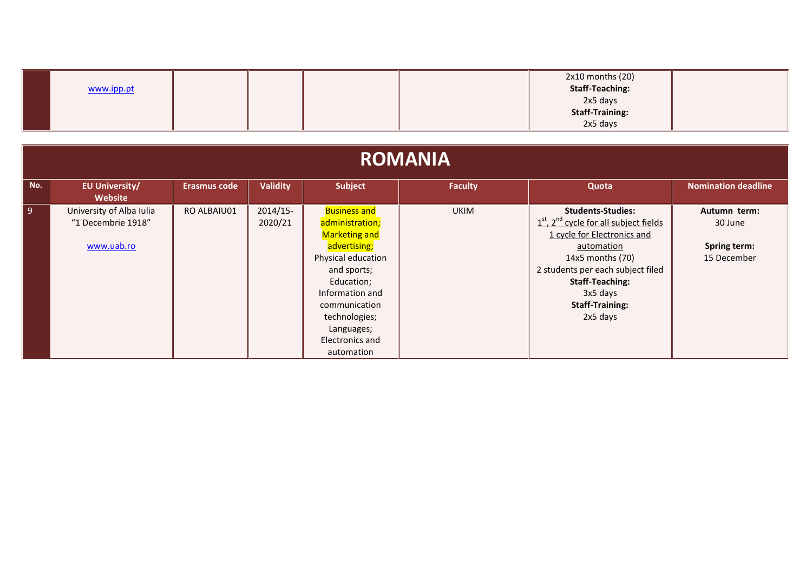|  | www.ipp.pt |  | 2x10 months (20)<br><b>Staff-Teaching:</b><br>2x5 days<br><b>Staff-Training:</b><br>2x5 days |
|--|------------|--|----------------------------------------------------------------------------------------------|
|--|------------|--|----------------------------------------------------------------------------------------------|

|                | <b>ROMANIA</b>                                               |                     |                        |                                                                                                                                                                                                                                       |             |                                                                                                                                                                                                                                                          |                                                        |  |  |  |  |  |
|----------------|--------------------------------------------------------------|---------------------|------------------------|---------------------------------------------------------------------------------------------------------------------------------------------------------------------------------------------------------------------------------------|-------------|----------------------------------------------------------------------------------------------------------------------------------------------------------------------------------------------------------------------------------------------------------|--------------------------------------------------------|--|--|--|--|--|
| No.            | <b>EU University/</b><br>Website                             | <b>Erasmus code</b> | <b>Validity</b>        | Subject                                                                                                                                                                                                                               | Faculty     | Quota                                                                                                                                                                                                                                                    | <b>Nomination deadline</b>                             |  |  |  |  |  |
| $\overline{9}$ | University of Alba Iulia<br>"1 Decembrie 1918"<br>www.uab.ro | RO ALBAIU01         | $2014/15$ -<br>2020/21 | <b>Business and</b><br>administration;<br><b>Marketing and</b><br>advertising;<br>Physical education<br>and sports;<br>Education;<br>Information and<br>communication<br>technologies;<br>Languages;<br>Electronics and<br>automation | <b>UKIM</b> | <b>Students-Studies:</b><br>$1st$ , $2nd$ cycle for all subject fields<br>1 cycle for Electronics and<br>automation<br>14x5 months (70)<br>2 students per each subject filed<br><b>Staff-Teaching:</b><br>3x5 days<br><b>Staff-Training:</b><br>2x5 days | Autumn term:<br>30 June<br>Spring term:<br>15 December |  |  |  |  |  |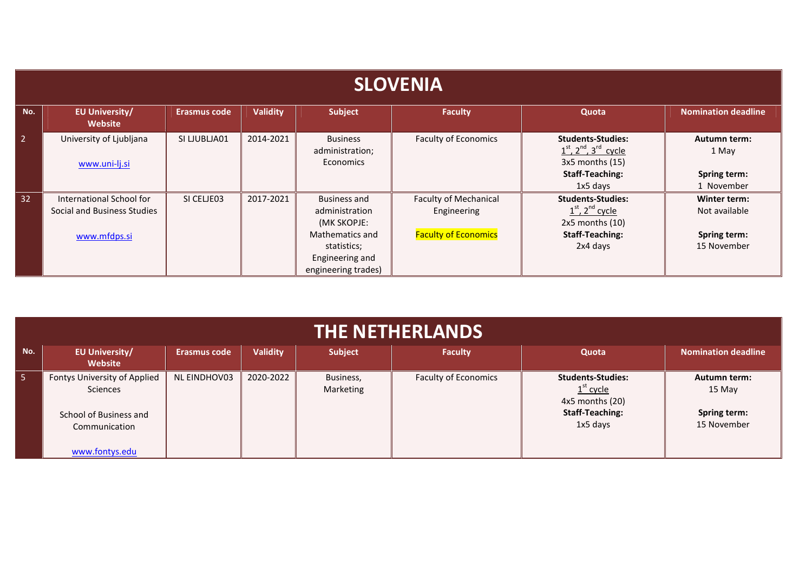|                | <b>SLOVENIA</b>                                                         |                     |                 |                                                                                                                           |                                                                            |                                                                                                                  |                                                                     |  |  |  |  |
|----------------|-------------------------------------------------------------------------|---------------------|-----------------|---------------------------------------------------------------------------------------------------------------------------|----------------------------------------------------------------------------|------------------------------------------------------------------------------------------------------------------|---------------------------------------------------------------------|--|--|--|--|
| No.            | <b>EU University/</b><br>Website                                        | <b>Erasmus code</b> | <b>Validity</b> | Subject                                                                                                                   | <b>Faculty</b>                                                             | Quota                                                                                                            | <b>Nomination deadline</b>                                          |  |  |  |  |
| 2 <sup>1</sup> | University of Ljubljana<br>www.uni-lj.si                                | SI LJUBLJA01        | 2014-2021       | <b>Business</b><br>administration;<br>Economics                                                                           | <b>Faculty of Economics</b>                                                | <b>Students-Studies:</b><br>$1st$ , $2nd$ , $3rd$ cycle<br>3x5 months (15)<br><b>Staff-Teaching:</b><br>1x5 days | <b>Autumn term:</b><br>1 May<br><b>Spring term:</b><br>1 November   |  |  |  |  |
| 32             | International School for<br>Social and Business Studies<br>www.mfdps.si | SI CELJE03          | 2017-2021       | Business and<br>administration<br>(MK SKOPJE:<br>Mathematics and<br>statistics;<br>Engineering and<br>engineering trades) | <b>Faculty of Mechanical</b><br>Engineering<br><b>Faculty of Economics</b> | <b>Students-Studies:</b><br>$1st$ , $2nd$ cycle<br>$2x5$ months $(10)$<br><b>Staff-Teaching:</b><br>2x4 days     | Winter term:<br>Not available<br><b>Spring term:</b><br>15 November |  |  |  |  |

|     | <b>THE NETHERLANDS</b>                          |              |           |                        |                             |                                                            |                             |  |  |  |  |
|-----|-------------------------------------------------|--------------|-----------|------------------------|-----------------------------|------------------------------------------------------------|-----------------------------|--|--|--|--|
| No. | <b>EU University/</b><br>Website                | Erasmus code | Validity  | Subject                | <b>Faculty</b>              | Quota                                                      | <b>Nomination deadline</b>  |  |  |  |  |
| 5.  | Fontys University of Applied<br><b>Sciences</b> | NL EINDHOV03 | 2020-2022 | Business,<br>Marketing | <b>Faculty of Economics</b> | <b>Students-Studies:</b><br>$1st$ cycle<br>4x5 months (20) | Autumn term:<br>15 May      |  |  |  |  |
|     | School of Business and<br>Communication         |              |           |                        |                             | <b>Staff-Teaching:</b><br>1x5 days                         | Spring term:<br>15 November |  |  |  |  |
|     | www.fontys.edu                                  |              |           |                        |                             |                                                            |                             |  |  |  |  |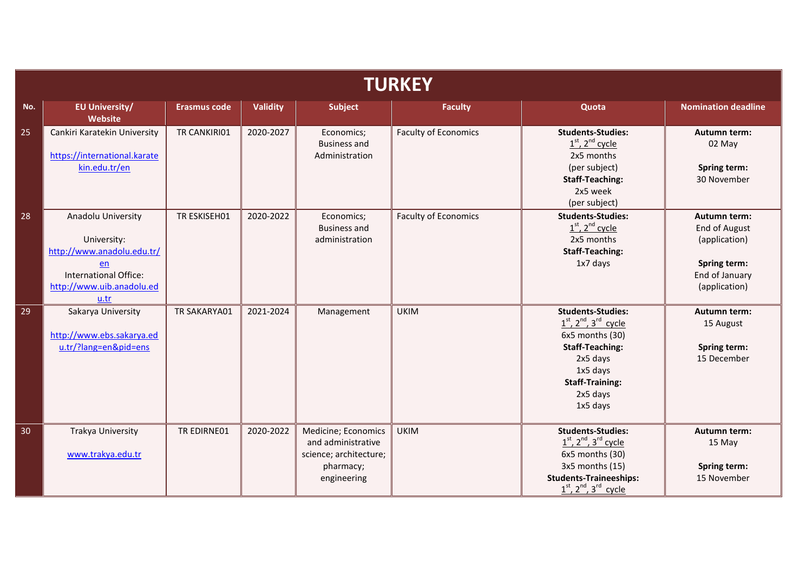|     |                                                                                                                                     |                     |                 |                                                                                                 | <b>TURKEY</b>               |                                                                                                                                                                                |                                                                                                                 |
|-----|-------------------------------------------------------------------------------------------------------------------------------------|---------------------|-----------------|-------------------------------------------------------------------------------------------------|-----------------------------|--------------------------------------------------------------------------------------------------------------------------------------------------------------------------------|-----------------------------------------------------------------------------------------------------------------|
| No. | <b>EU University/</b><br>Website                                                                                                    | <b>Erasmus code</b> | <b>Validity</b> | Subject                                                                                         | <b>Faculty</b>              | Quota                                                                                                                                                                          | <b>Nomination deadline</b>                                                                                      |
| 25  | Cankiri Karatekin University<br>https://international.karate<br>kin.edu.tr/en                                                       | TR CANKIRI01        | 2020-2027       | Economics;<br><b>Business and</b><br>Administration                                             | <b>Faculty of Economics</b> | <b>Students-Studies:</b><br>$1st$ , $2nd$ cycle<br>2x5 months<br>(per subject)<br><b>Staff-Teaching:</b><br>2x5 week<br>(per subject)                                          | <b>Autumn term:</b><br>02 May<br><b>Spring term:</b><br>30 November                                             |
| 28  | Anadolu University<br>University:<br>http://www.anadolu.edu.tr/<br>en<br>International Office:<br>http://www.uib.anadolu.ed<br>u.tr | TR ESKISEH01        | 2020-2022       | Economics;<br><b>Business and</b><br>administration                                             | <b>Faculty of Economics</b> | <b>Students-Studies:</b><br>$1st$ , $2nd$ cycle<br>2x5 months<br><b>Staff-Teaching:</b><br>1x7 days                                                                            | Autumn term:<br><b>End of August</b><br>(application)<br><b>Spring term:</b><br>End of January<br>(application) |
| 29  | Sakarya University<br>http://www.ebs.sakarya.ed<br>u.tr/?lang=en&pid=ens                                                            | TR SAKARYA01        | 2021-2024       | Management                                                                                      | <b>UKIM</b>                 | <b>Students-Studies:</b><br>$1st$ , $2nd$ , $3rd$ cycle<br>6x5 months (30)<br><b>Staff-Teaching:</b><br>2x5 days<br>1x5 days<br><b>Staff-Training:</b><br>2x5 days<br>1x5 days | Autumn term:<br>15 August<br><b>Spring term:</b><br>15 December                                                 |
| 30  | <b>Trakya University</b><br>www.trakya.edu.tr                                                                                       | TR EDIRNE01         | 2020-2022       | Medicine; Economics<br>and administrative<br>science; architecture;<br>pharmacy;<br>engineering | <b>UKIM</b>                 | <b>Students-Studies:</b><br>$1st$ , $2nd$ , $3rd$ cycle<br>6x5 months (30)<br>3x5 months (15)<br><b>Students-Traineeships:</b><br>$1^{st}$ , $2^{nd}$ , $3^{rd}$ cycle         | Autumn term:<br>15 May<br><b>Spring term:</b><br>15 November                                                    |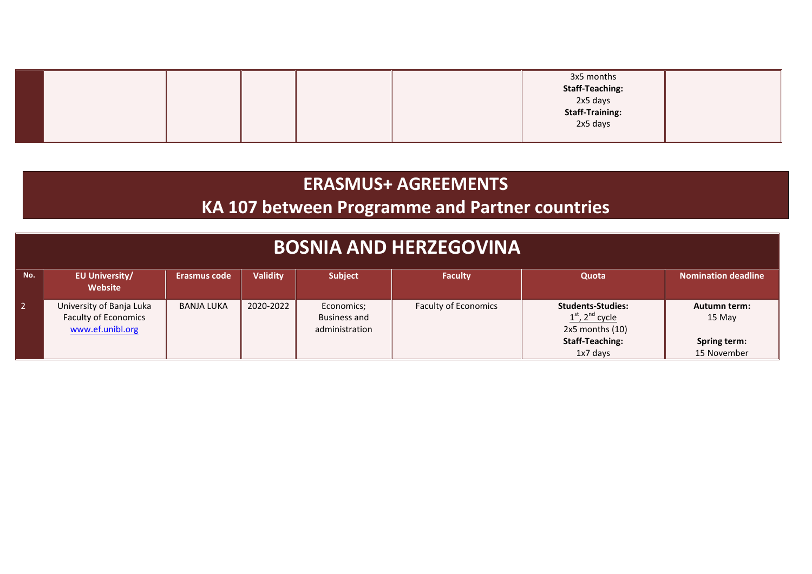|  |  |  | 3x5 months<br>Staff-Teaching:<br>2x5 days<br>Staff-Training:<br>2x5 days |  |
|--|--|--|--------------------------------------------------------------------------|--|
|  |  |  |                                                                          |  |

## **ERASMUS+ AGREEMENTS**

## **KA 107 between Programme and Partner countries**

## **BOSNIA AND HERZEGOVINA**

| No.            | <b>EU University/</b><br>Website                                            | Erasmus code      | <b>Validity</b> | <b>Subject</b>                                      | <b>Faculty</b>              | Quota                                                                  | <b>Nomination deadline</b>    |
|----------------|-----------------------------------------------------------------------------|-------------------|-----------------|-----------------------------------------------------|-----------------------------|------------------------------------------------------------------------|-------------------------------|
| 2 <sup>2</sup> | University of Banja Luka<br><b>Faculty of Economics</b><br>www.ef.unibl.org | <b>BANJA LUKA</b> | 2020-2022       | Economics;<br><b>Business and</b><br>administration | <b>Faculty of Economics</b> | <b>Students-Studies:</b><br>$1st$ , $2nd$ cycle<br>$2x5$ months $(10)$ | <b>Autumn term:</b><br>15 May |
|                |                                                                             |                   |                 |                                                     |                             | <b>Staff-Teaching:</b>                                                 | Spring term:                  |
|                |                                                                             |                   |                 |                                                     |                             | $1x7$ days                                                             | 15 November                   |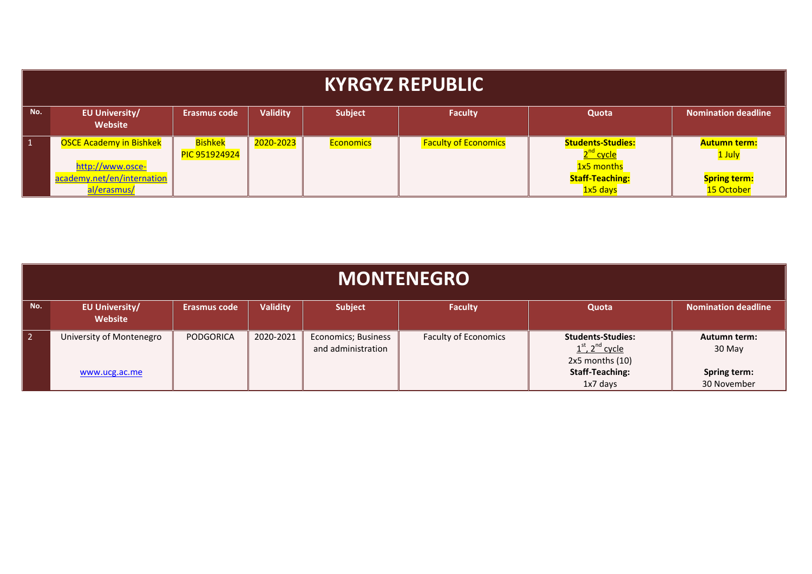|                 | <b>KYRGYZ REPUBLIC</b>                                                                          |                                 |                 |                  |                             |                                                                                                       |                                                                    |  |  |  |  |
|-----------------|-------------------------------------------------------------------------------------------------|---------------------------------|-----------------|------------------|-----------------------------|-------------------------------------------------------------------------------------------------------|--------------------------------------------------------------------|--|--|--|--|
| No.             | <b>EU University/</b><br>Website                                                                | <b>Erasmus code</b>             | <b>Validity</b> | <b>Subject</b>   | <b>Faculty</b>              | Quota                                                                                                 | <b>Nomination deadline</b>                                         |  |  |  |  |
| $\vert 1 \vert$ | <b>OSCE Academy in Bishkek</b><br>http://www.osce-<br>academy.net/en/internation<br>al/erasmus/ | <b>Bishkek</b><br>PIC 951924924 | 2020-2023       | <b>Economics</b> | <b>Faculty of Economics</b> | <b>Students-Studies:</b><br>2 <sup>nd</sup> cycle<br>1x5 months<br><b>Staff-Teaching:</b><br>1x5 days | <b>Autumn term:</b><br>1 July<br><b>Spring term:</b><br>15 October |  |  |  |  |

|                 | <b>MONTENEGRO</b>                |                     |           |                                           |                             |                                                                              |                                    |  |  |  |  |
|-----------------|----------------------------------|---------------------|-----------|-------------------------------------------|-----------------------------|------------------------------------------------------------------------------|------------------------------------|--|--|--|--|
| No.             | <b>EU University/</b><br>Website | <b>Erasmus code</b> | Validity  | <b>Subject</b>                            | <b>Faculty</b>              | Quota                                                                        | <b>Nomination deadline</b>         |  |  |  |  |
| $\vert 2 \vert$ | University of Montenegro         | <b>PODGORICA</b>    | 2020-2021 | Economics; Business<br>and administration | <b>Faculty of Economics</b> | <b>Students-Studies:</b><br>$1st$ , 2 <sup>nd</sup> cycle<br>2x5 months (10) | <b>Autumn term:</b><br>30 May      |  |  |  |  |
|                 | www.ucg.ac.me                    |                     |           |                                           |                             | <b>Staff-Teaching:</b><br>1x7 days                                           | <b>Spring term:</b><br>30 November |  |  |  |  |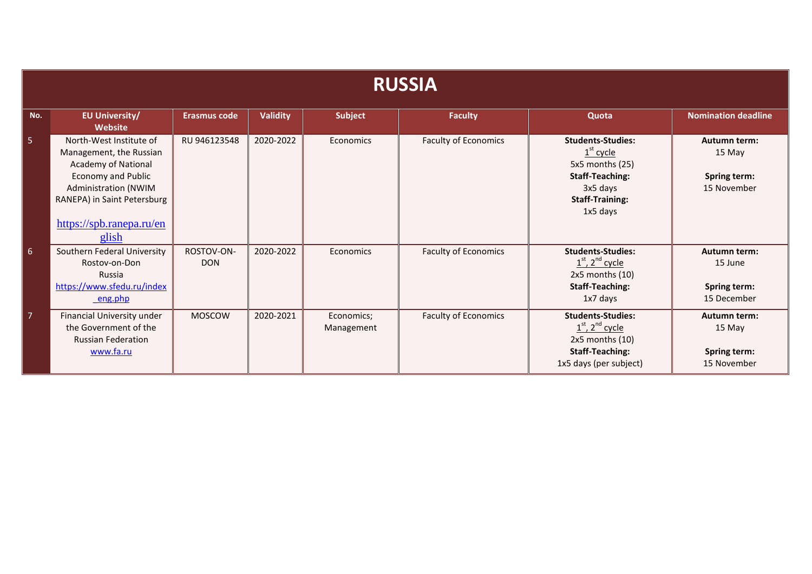|                | <b>RUSSIA</b>                                                                                                                                                                                             |                          |                 |                          |                             |                                                                                                                                        |                                                                     |  |  |  |  |  |
|----------------|-----------------------------------------------------------------------------------------------------------------------------------------------------------------------------------------------------------|--------------------------|-----------------|--------------------------|-----------------------------|----------------------------------------------------------------------------------------------------------------------------------------|---------------------------------------------------------------------|--|--|--|--|--|
| No.            | <b>EU University/</b><br>Website                                                                                                                                                                          | <b>Erasmus code</b>      | <b>Validity</b> | <b>Subject</b>           | <b>Faculty</b>              | Quota                                                                                                                                  | <b>Nomination deadline</b>                                          |  |  |  |  |  |
| 5              | North-West Institute of<br>Management, the Russian<br>Academy of National<br><b>Economy and Public</b><br><b>Administration (NWIM</b><br>RANEPA) in Saint Petersburg<br>https://spb.ranepa.ru/en<br>glish | RU 946123548             | 2020-2022       | Economics                | <b>Faculty of Economics</b> | <b>Students-Studies:</b><br>$1st$ cycle<br>5x5 months (25)<br><b>Staff-Teaching:</b><br>3x5 days<br><b>Staff-Training:</b><br>1x5 days | <b>Autumn term:</b><br>15 May<br>Spring term:<br>15 November        |  |  |  |  |  |
| 6 <sup>1</sup> | Southern Federal University<br>Rostov-on-Don<br>Russia<br>https://www.sfedu.ru/index<br>eng.php                                                                                                           | ROSTOV-ON-<br><b>DON</b> | 2020-2022       | Economics                | <b>Faculty of Economics</b> | <b>Students-Studies:</b><br>$1st$ , 2 <sup>nd</sup> cycle<br>$2x5$ months $(10)$<br><b>Staff-Teaching:</b><br>1x7 days                 | <b>Autumn term:</b><br>15 June<br>Spring term:<br>15 December       |  |  |  |  |  |
| 7 <sup>1</sup> | Financial University under<br>the Government of the<br><b>Russian Federation</b><br>www.fa.ru                                                                                                             | <b>MOSCOW</b>            | 2020-2021       | Economics:<br>Management | <b>Faculty of Economics</b> | <b>Students-Studies:</b><br>$1st$ , $2nd$ cycle<br>$2x5$ months $(10)$<br><b>Staff-Teaching:</b><br>1x5 days (per subject)             | <b>Autumn term:</b><br>15 May<br><b>Spring term:</b><br>15 November |  |  |  |  |  |